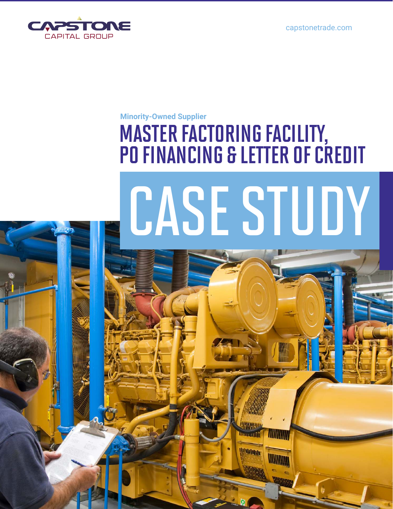

#### **Minority-Owned Supplier**

## MASTER FACTORING FACILITY, PO FINANCING & LETTER OF CREDIT

# CASE STUDY

44440 **Douglift** 

*<u>Military</u>* 

WITHINI

**WINNING**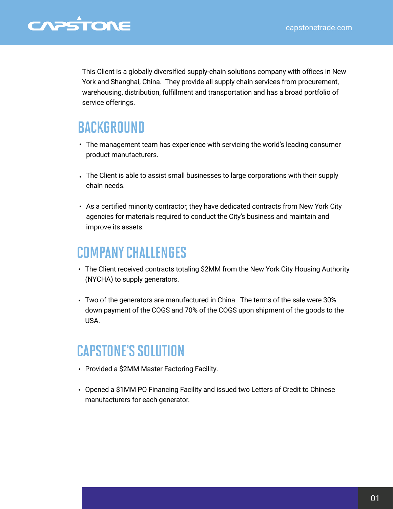#### CAPSTONE

This Client is a globally diversified supply-chain solutions company with offices in New York and Shanghai, China. They provide all supply chain services from procurement, warehousing, distribution, fulfillment and transportation and has a broad portfolio of service offerings.

#### **BACKGROUND**

- The management team has experience with servicing the world's leading consumer product manufacturers.
- The Client is able to assist small businesses to large corporations with their supply chain needs.
- As a certified minority contractor, they have dedicated contracts from New York City agencies for materials required to conduct the City's business and maintain and improve its assets.

#### COMPANY CHALLENGES

- The Client received contracts totaling \$2MM from the New York City Housing Authority (NYCHA) to supply generators.
- Two of the generators are manufactured in China. The terms of the sale were 30% down payment of the COGS and 70% of the COGS upon shipment of the goods to the USA.

#### CAPSTONE'S SOLUTION

- Provided a \$2MM Master Factoring Facility.
- Opened a \$1MM PO Financing Facility and issued two Letters of Credit to Chinese manufacturers for each generator.